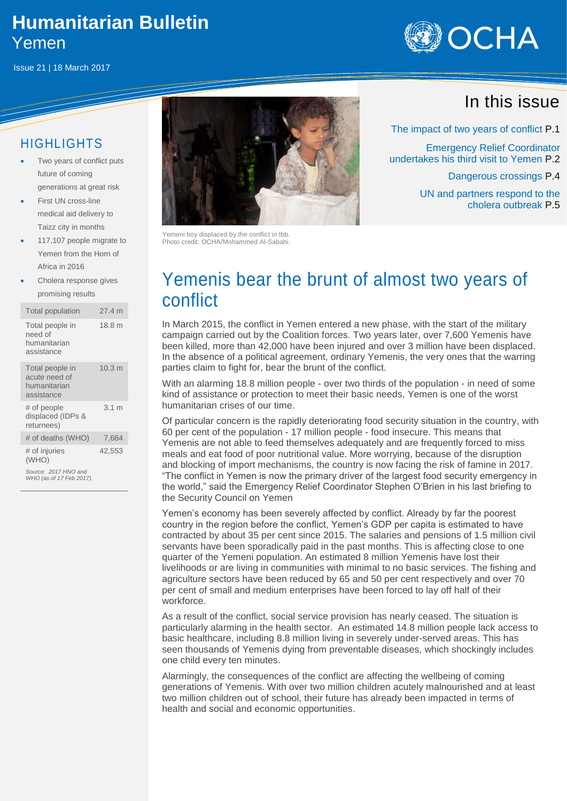### **Humanitarian Bulletin** Yemen

Issue 21 | 18 March 2017



#### HIGHLIGHTS

- Two years of conflict puts future of coming generations at great risk
- First UN cross-line medical aid delivery to Taizz city in months
- 117,107 people migrate to Yemen from the Horn of Africa in 2016

 Cholera response gives promising results

| <b>Total population</b>                                        | 27.4 m            |
|----------------------------------------------------------------|-------------------|
| Total people in<br>need of<br>humanitarian<br>assistance       | 18.8 m            |
| Total people in<br>acute need of<br>humanitarian<br>assistance | 10.3 <sub>m</sub> |
| # of people<br>displaced (IDPs &<br>returnees)                 | 3.1 m             |
| # of deaths (WHO)                                              | 7,684             |
| # of injuries<br>(WHO)                                         | 42,553            |
| Source: 2017 HNO and<br>WHO (as of 17 Feb 2017).               |                   |



Yemeni boy displaced by the conflict in Ibb. Photo credit: OCHA/Mohammed Al-Sabahi.

# Yemenis bear the brunt of almost two years of conflict

In March 2015, the conflict in Yemen entered a new phase, with the start of the military campaign carried out by the Coalition forces. Two years later, over 7,600 Yemenis have been killed, more than 42,000 have been injured and over 3 million have been displaced. In the absence of a political agreement, ordinary Yemenis, the very ones that the warring parties claim to fight for, bear the brunt of the conflict.

With an alarming 18.8 million people - over two thirds of the population - in need of some kind of assistance or protection to meet their basic needs, Yemen is one of the worst humanitarian crises of our time.

Of particular concern is the rapidly deteriorating food security situation in the country, with 60 per cent of the population - 17 million people - food insecure. This means that Yemenis are not able to feed themselves adequately and are frequently forced to miss meals and eat food of poor nutritional value. More worrying, because of the disruption and blocking of import mechanisms, the country is now facing the risk of famine in 2017. "The conflict in Yemen is now the primary driver of the largest food security emergency in the world," said the Emergency Relief Coordinator Stephen O'Brien in his last briefing to the Security Council on Yemen

Yemen's economy has been severely affected by conflict. Already by far the poorest country in the region before the conflict, Yemen's GDP per capita is estimated to have contracted by about 35 per cent since 2015. The salaries and pensions of 1.5 million civil servants have been sporadically paid in the past months. This is affecting close to one quarter of the Yemeni population. An estimated 8 million Yemenis have lost their livelihoods or are living in communities with minimal to no basic services. The fishing and agriculture sectors have been reduced by 65 and 50 per cent respectively and over 70 per cent of small and medium enterprises have been forced to lay off half of their workforce.

As a result of the conflict, social service provision has nearly ceased. The situation is particularly alarming in the health sector. An estimated 14.8 million people lack access to basic healthcare, including 8.8 million living in severely under-served areas. This has seen thousands of Yemenis dying from preventable diseases, which shockingly includes one child every ten minutes.

Alarmingly, the consequences of the conflict are affecting the wellbeing of coming generations of Yemenis. With over two million children acutely malnourished and at least two million children out of school, their future has already been impacted in terms of health and social and economic opportunities.

## In this issue

The impact of two years of conflict P.1

Emergency Relief Coordinator undertakes his third visit to Yemen P.2

Dangerous crossings P.4

UN and partners respond to the cholera outbreak P.5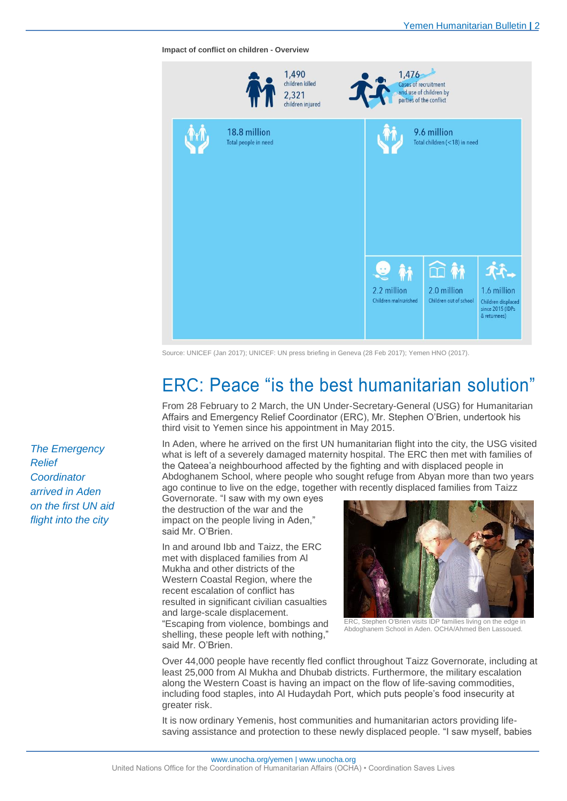**Impact of conflict on children - Overview**

|                                      | 1,490<br>children killed<br>2,321<br>children injured | 1,476                                                  | <b>Cases of recruitment</b><br>and use of children by<br>parties of the conflict |                                                                       |
|--------------------------------------|-------------------------------------------------------|--------------------------------------------------------|----------------------------------------------------------------------------------|-----------------------------------------------------------------------|
| 18.8 million<br>Total people in need |                                                       |                                                        | 9.6 million<br>Total children (<18) in need                                      |                                                                       |
|                                      |                                                       | $\mathbf{9}$ in<br>2.2 million<br>Children malnurished | 血林<br>2.0 million<br>Children out of school                                      | 1.6 million<br>Children displaced<br>since 2015 (IDPs<br>& returnees) |

Source: UNICEF (Jan 2017); UNICEF: UN press briefing in Geneva (28 Feb 2017); Yemen HNO (2017).

# ERC: Peace "is the best humanitarian solution"

From 28 February to 2 March, the UN Under-Secretary-General (USG) for Humanitarian Affairs and Emergency Relief Coordinator (ERC), Mr. Stephen O'Brien, undertook his third visit to Yemen since his appointment in May 2015.

In Aden, where he arrived on the first UN humanitarian flight into the city, the USG visited what is left of a severely damaged maternity hospital. The ERC then met with families of the Qateea'a neighbourhood affected by the fighting and with displaced people in Abdoghanem School, where people who sought refuge from Abyan more than two years ago continue to live on the edge, together with recently displaced families from Taizz

Governorate. "I saw with my own eyes the destruction of the war and the impact on the people living in Aden," said Mr. O'Brien.

In and around Ibb and Taizz, the ERC met with displaced families from Al Mukha and other districts of the Western Coastal Region, where the recent escalation of conflict has resulted in significant civilian casualties and large-scale displacement. "Escaping from violence, bombings and shelling, these people left with nothing," said Mr. O'Brien.



ERC, Stephen O'Brien visits IDP families living on the edge in Abdoghanem School in Aden. OCHA/Ahmed Ben Lassoued.

Over 44,000 people have recently fled conflict throughout Taizz Governorate, including at least 25,000 from Al Mukha and Dhubab districts. Furthermore, the military escalation along the Western Coast is having an impact on the flow of life-saving commodities, including food staples, into Al Hudaydah Port, which puts people's food insecurity at greater risk.

It is now ordinary Yemenis, host communities and humanitarian actors providing lifesaving assistance and protection to these newly displaced people. "I saw myself, babies

*The Emergency Relief Coordinator arrived in Aden on the first UN aid flight into the city*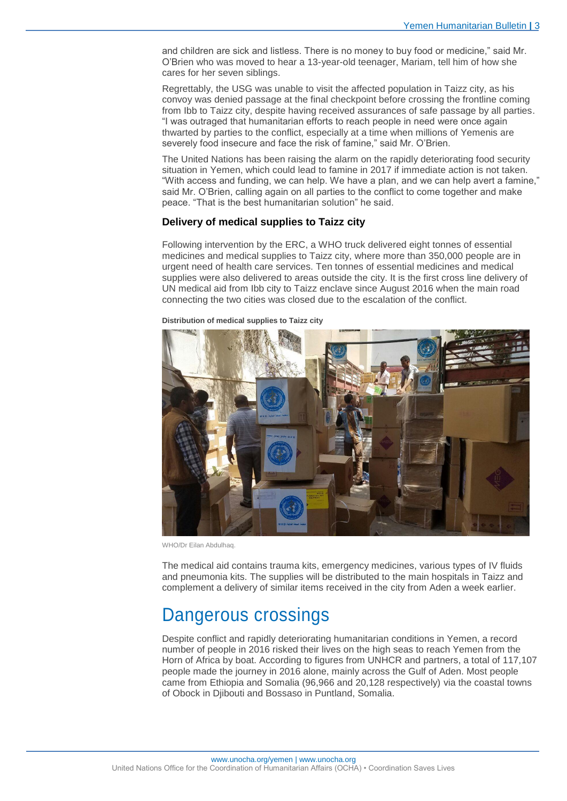and children are sick and listless. There is no money to buy food or medicine," said Mr. O'Brien who was moved to hear a 13-year-old teenager, Mariam, tell him of how she cares for her seven siblings.

Regrettably, the USG was unable to visit the affected population in Taizz city, as his convoy was denied passage at the final checkpoint before crossing the frontline coming from Ibb to Taizz city, despite having received assurances of safe passage by all parties. "I was outraged that humanitarian efforts to reach people in need were once again thwarted by parties to the conflict, especially at a time when millions of Yemenis are severely food insecure and face the risk of famine," said Mr. O'Brien.

The United Nations has been raising the alarm on the rapidly deteriorating food security situation in Yemen, which could lead to famine in 2017 if immediate action is not taken. "With access and funding, we can help. We have a plan, and we can help avert a famine," said Mr. O'Brien, calling again on all parties to the conflict to come together and make peace. "That is the best humanitarian solution" he said.

#### **Delivery of medical supplies to Taizz city**

Following intervention by the ERC, a WHO truck delivered eight tonnes of essential medicines and medical supplies to Taizz city, where more than 350,000 people are in urgent need of health care services. Ten tonnes of essential medicines and medical supplies were also delivered to areas outside the city. It is the first cross line delivery of UN medical aid from Ibb city to Taizz enclave since August 2016 when the main road connecting the two cities was closed due to the escalation of the conflict.



**Distribution of medical supplies to Taizz city**

WHO/Dr Eilan Abdulhaq.

The medical aid contains trauma kits, emergency medicines, various types of IV fluids and pneumonia kits. The supplies will be distributed to the main hospitals in Taizz and complement a delivery of similar items received in the city from Aden a week earlier.

### Dangerous crossings

Despite conflict and rapidly deteriorating humanitarian conditions in Yemen, a record number of people in 2016 risked their lives on the high seas to reach Yemen from the Horn of Africa by boat. According to figures from UNHCR and partners, a total of 117,107 people made the journey in 2016 alone, mainly across the Gulf of Aden. Most people came from Ethiopia and Somalia (96,966 and 20,128 respectively) via the coastal towns of Obock in Djibouti and Bossaso in Puntland, Somalia.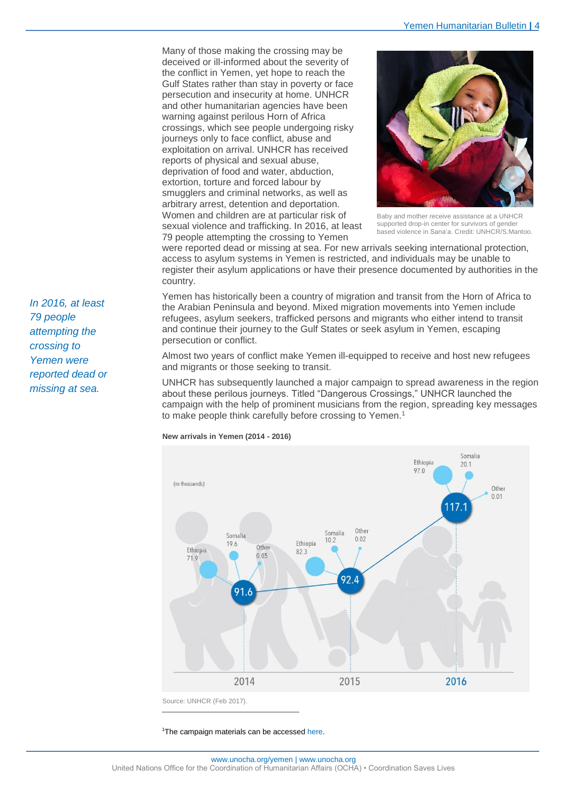Many of those making the crossing may be deceived or ill-informed about the severity of the conflict in Yemen, yet hope to reach the Gulf States rather than stay in poverty or face persecution and insecurity at home. UNHCR and other humanitarian agencies have been warning against perilous Horn of Africa crossings, which see people undergoing risky journeys only to face conflict, abuse and exploitation on arrival. UNHCR has received reports of physical and sexual abuse, deprivation of food and water, abduction, extortion, torture and forced labour by smugglers and criminal networks, as well as arbitrary arrest, detention and deportation. Women and children are at particular risk of sexual violence and trafficking. In 2016, at least 79 people attempting the crossing to Yemen



Baby and mother receive assistance at a UNHCR supported drop-in center for survivors of gender based violence in Sana'a. Credit: UNHCR/S.Mantoo.

were reported dead or missing at sea. For new arrivals seeking international protection, access to asylum systems in Yemen is restricted, and individuals may be unable to register their asylum applications or have their presence documented by authorities in the country.

Yemen has historically been a country of migration and transit from the Horn of Africa to the Arabian Peninsula and beyond. Mixed migration movements into Yemen include refugees, asylum seekers, trafficked persons and migrants who either intend to transit and continue their journey to the Gulf States or seek asylum in Yemen, escaping persecution or conflict.

Almost two years of conflict make Yemen ill-equipped to receive and host new refugees and migrants or those seeking to transit.

UNHCR has subsequently launched a major campaign to spread awareness in the region about these perilous journeys. Titled "Dangerous Crossings," UNHCR launched the campaign with the help of prominent musicians from the region, spreading key messages to make people think carefully before crossing to Yemen.<sup>1</sup>



**New arrivals in Yemen (2014 - 2016)**

<sup>1</sup>The campaign materials can be accesse[d here.](https://www.youtube.com/watch?v=kNFITTBDYG0)

-

*In 2016, at least 79 people attempting the crossing to Yemen were reported dead or missing at sea.*